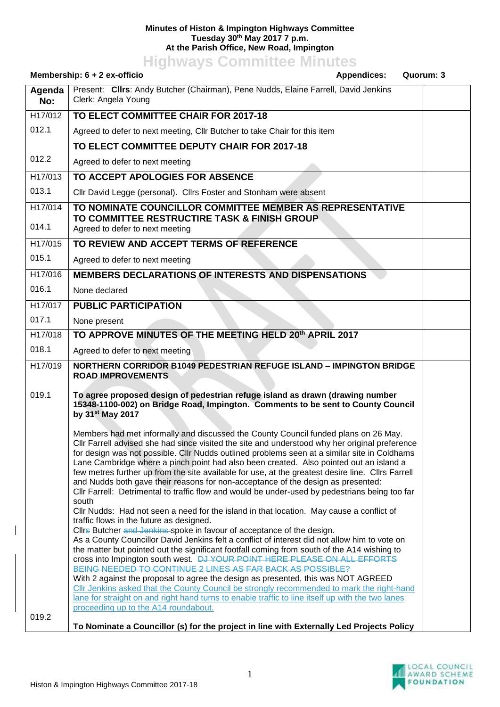## **Minutes of Histon & Impington Highways Committee Tuesday 30th May 2017 7 p.m. At the Parish Office, New Road, Impington**

**Highways Committee Minutes**

| Membership: 6 + 2 ex-officio<br><b>Appendices:</b> |                                                                                                                                                                                                                                                                                                                                                                                                                                                                                                                                                                                                                                                                                                                                                                                                                                                                                                                                                                                                                                                                                                       | Quorum: 3 |
|----------------------------------------------------|-------------------------------------------------------------------------------------------------------------------------------------------------------------------------------------------------------------------------------------------------------------------------------------------------------------------------------------------------------------------------------------------------------------------------------------------------------------------------------------------------------------------------------------------------------------------------------------------------------------------------------------------------------------------------------------------------------------------------------------------------------------------------------------------------------------------------------------------------------------------------------------------------------------------------------------------------------------------------------------------------------------------------------------------------------------------------------------------------------|-----------|
| Agenda<br>No:                                      | Present: Clirs: Andy Butcher (Chairman), Pene Nudds, Elaine Farrell, David Jenkins<br>Clerk: Angela Young                                                                                                                                                                                                                                                                                                                                                                                                                                                                                                                                                                                                                                                                                                                                                                                                                                                                                                                                                                                             |           |
| H17/012                                            | TO ELECT COMMITTEE CHAIR FOR 2017-18                                                                                                                                                                                                                                                                                                                                                                                                                                                                                                                                                                                                                                                                                                                                                                                                                                                                                                                                                                                                                                                                  |           |
| 012.1                                              | Agreed to defer to next meeting, Cllr Butcher to take Chair for this item                                                                                                                                                                                                                                                                                                                                                                                                                                                                                                                                                                                                                                                                                                                                                                                                                                                                                                                                                                                                                             |           |
|                                                    | TO ELECT COMMITTEE DEPUTY CHAIR FOR 2017-18                                                                                                                                                                                                                                                                                                                                                                                                                                                                                                                                                                                                                                                                                                                                                                                                                                                                                                                                                                                                                                                           |           |
| 012.2                                              | Agreed to defer to next meeting                                                                                                                                                                                                                                                                                                                                                                                                                                                                                                                                                                                                                                                                                                                                                                                                                                                                                                                                                                                                                                                                       |           |
| H17/013                                            | TO ACCEPT APOLOGIES FOR ABSENCE                                                                                                                                                                                                                                                                                                                                                                                                                                                                                                                                                                                                                                                                                                                                                                                                                                                                                                                                                                                                                                                                       |           |
| 013.1                                              | Cllr David Legge (personal). Cllrs Foster and Stonham were absent                                                                                                                                                                                                                                                                                                                                                                                                                                                                                                                                                                                                                                                                                                                                                                                                                                                                                                                                                                                                                                     |           |
| H17/014<br>014.1                                   | TO NOMINATE COUNCILLOR COMMITTEE MEMBER AS REPRESENTATIVE<br>TO COMMITTEE RESTRUCTIRE TASK & FINISH GROUP<br>Agreed to defer to next meeting                                                                                                                                                                                                                                                                                                                                                                                                                                                                                                                                                                                                                                                                                                                                                                                                                                                                                                                                                          |           |
| H17/015                                            | TO REVIEW AND ACCEPT TERMS OF REFERENCE                                                                                                                                                                                                                                                                                                                                                                                                                                                                                                                                                                                                                                                                                                                                                                                                                                                                                                                                                                                                                                                               |           |
| 015.1                                              | Agreed to defer to next meeting                                                                                                                                                                                                                                                                                                                                                                                                                                                                                                                                                                                                                                                                                                                                                                                                                                                                                                                                                                                                                                                                       |           |
| H17/016                                            | MEMBERS DECLARATIONS OF INTERESTS AND DISPENSATIONS                                                                                                                                                                                                                                                                                                                                                                                                                                                                                                                                                                                                                                                                                                                                                                                                                                                                                                                                                                                                                                                   |           |
| 016.1                                              | None declared                                                                                                                                                                                                                                                                                                                                                                                                                                                                                                                                                                                                                                                                                                                                                                                                                                                                                                                                                                                                                                                                                         |           |
| H17/017                                            | <b>PUBLIC PARTICIPATION</b>                                                                                                                                                                                                                                                                                                                                                                                                                                                                                                                                                                                                                                                                                                                                                                                                                                                                                                                                                                                                                                                                           |           |
| 017.1                                              | None present                                                                                                                                                                                                                                                                                                                                                                                                                                                                                                                                                                                                                                                                                                                                                                                                                                                                                                                                                                                                                                                                                          |           |
| H17/018                                            | TO APPROVE MINUTES OF THE MEETING HELD 20th APRIL 2017                                                                                                                                                                                                                                                                                                                                                                                                                                                                                                                                                                                                                                                                                                                                                                                                                                                                                                                                                                                                                                                |           |
| 018.1                                              | Agreed to defer to next meeting                                                                                                                                                                                                                                                                                                                                                                                                                                                                                                                                                                                                                                                                                                                                                                                                                                                                                                                                                                                                                                                                       |           |
| H17/019                                            | <b>NORTHERN CORRIDOR B1049 PEDESTRIAN REFUGE ISLAND - IMPINGTON BRIDGE</b><br><b>ROAD IMPROVEMENTS</b>                                                                                                                                                                                                                                                                                                                                                                                                                                                                                                                                                                                                                                                                                                                                                                                                                                                                                                                                                                                                |           |
| 019.1                                              | To agree proposed design of pedestrian refuge island as drawn (drawing number<br>15348-1100-002) on Bridge Road, Impington. Comments to be sent to County Council<br>by 31 <sup>st</sup> May 2017                                                                                                                                                                                                                                                                                                                                                                                                                                                                                                                                                                                                                                                                                                                                                                                                                                                                                                     |           |
|                                                    | Members had met informally and discussed the County Council funded plans on 26 May.<br>CIIr Farrell advised she had since visited the site and understood why her original preference<br>for design was not possible. Cllr Nudds outlined problems seen at a similar site in Coldhams<br>Lane Cambridge where a pinch point had also been created. Also pointed out an island a<br>few metres further up from the site available for use, at the greatest desire line. ClIrs Farrell<br>and Nudds both gave their reasons for non-acceptance of the design as presented:<br>CIIr Farrell: Detrimental to traffic flow and would be under-used by pedestrians being too far<br>south<br>Cllr Nudds: Had not seen a need for the island in that location. May cause a conflict of<br>traffic flows in the future as designed.<br>Cllrs Butcher and Jenkins-spoke in favour of acceptance of the design.<br>As a County Councillor David Jenkins felt a conflict of interest did not allow him to vote on<br>the matter but pointed out the significant footfall coming from south of the A14 wishing to |           |
|                                                    | cross into Impington south west. DJ YOUR POINT HERE PLEASE ON ALL EFFORTS<br>BEING NEEDED TO CONTINUE 2 LINES AS FAR BACK AS POSSIBLE?<br>With 2 against the proposal to agree the design as presented, this was NOT AGREED<br>CIIr Jenkins asked that the County Council be strongly recommended to mark the right-hand<br>lane for straight on and right hand turns to enable traffic to line itself up with the two lanes<br>proceeding up to the A14 roundabout.                                                                                                                                                                                                                                                                                                                                                                                                                                                                                                                                                                                                                                  |           |
| 019.2                                              | To Nominate a Councillor (s) for the project in line with Externally Led Projects Policy                                                                                                                                                                                                                                                                                                                                                                                                                                                                                                                                                                                                                                                                                                                                                                                                                                                                                                                                                                                                              |           |